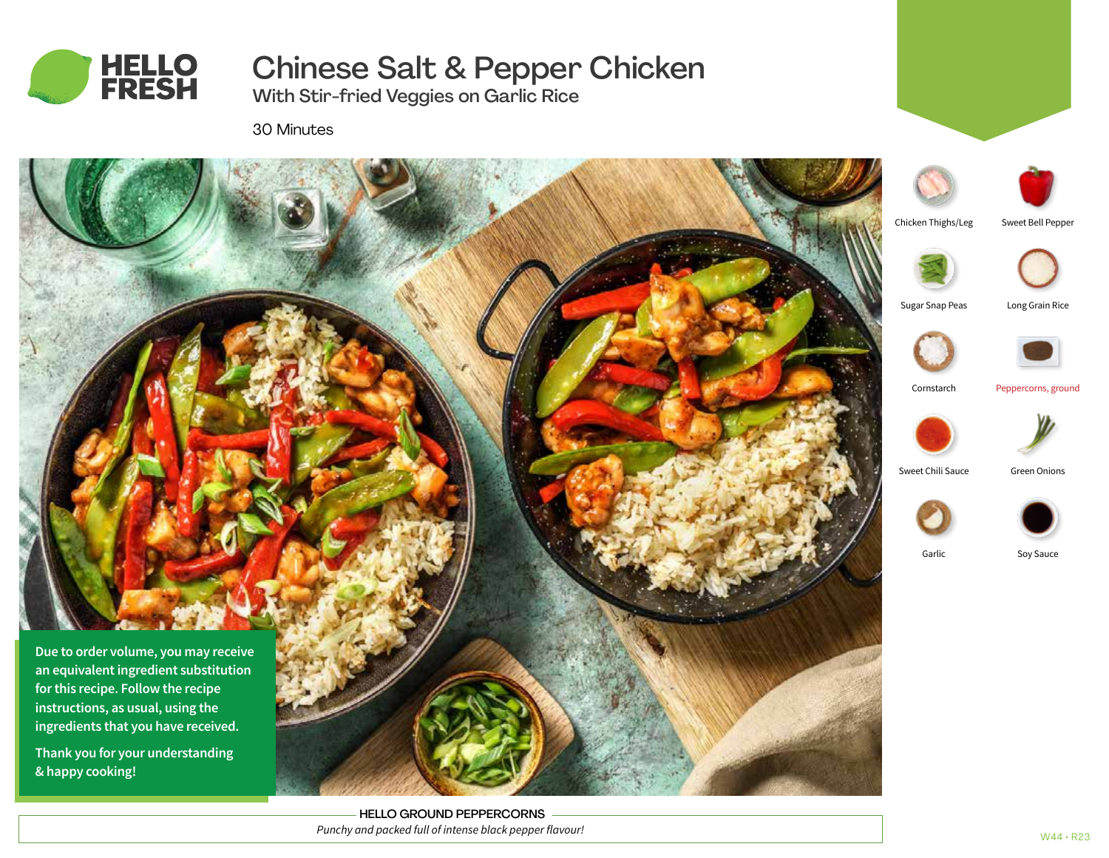

Chinese Salt & Pepper Chicken

With Stir-fried Veggies on Garlic Rice

30 Minutes



**Thank you for your understanding & happy cooking!**

> HELLO GROUND PEPPERCORNS *Punchy and packed full of intense black pepper flavour!*